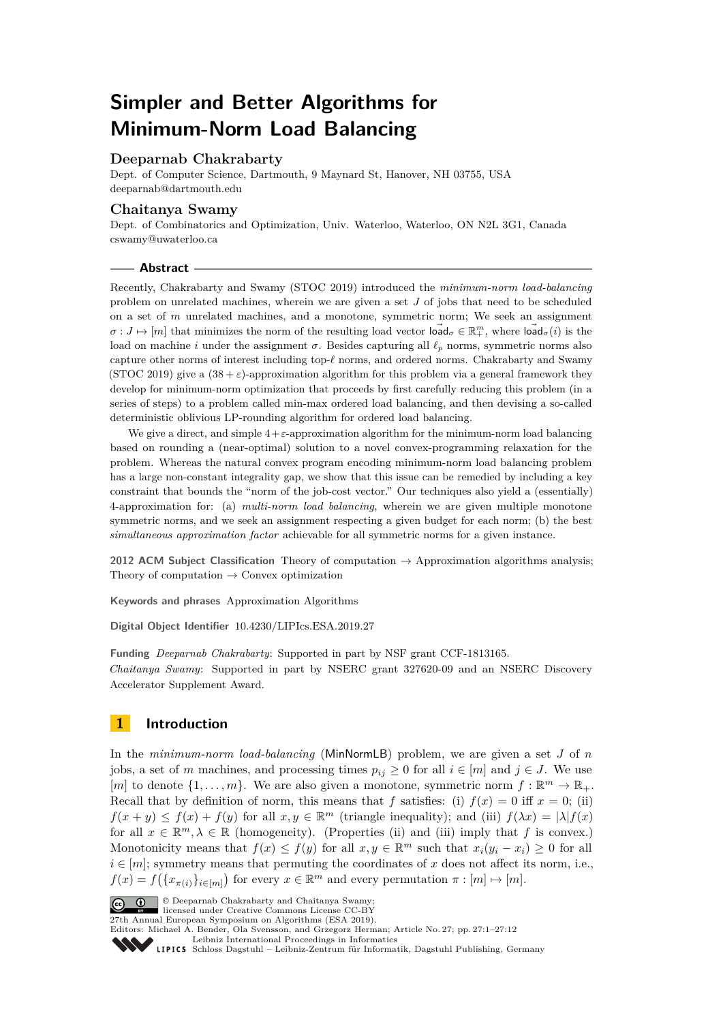# **Simpler and Better Algorithms for Minimum-Norm Load Balancing**

# **Deeparnab Chakrabarty**

Dept. of Computer Science, Dartmouth, 9 Maynard St, Hanover, NH 03755, USA [deeparnab@dartmouth.edu](mailto:deeparnab@dartmouth.edu)

## **Chaitanya Swamy**

Dept. of Combinatorics and Optimization, Univ. Waterloo, Waterloo, ON N2L 3G1, Canada [cswamy@uwaterloo.ca](mailto:cswamy@uwaterloo.ca)

#### **Abstract**

Recently, Chakrabarty and Swamy (STOC 2019) introduced the *minimum-norm load-balancing* problem on unrelated machines, wherein we are given a set *J* of jobs that need to be scheduled on a set of *m* unrelated machines, and a monotone, symmetric norm; We seek an assignment  $\sigma: J \mapsto [m]$  that minimizes the norm of the resulting load vector  $\overrightarrow{\text{load}}_{\sigma} \in \mathbb{R}_{+}^{m}$ , where  $\overrightarrow{\text{load}}_{\sigma}(i)$  is the load on machine *i* under the assignment *σ*. Besides capturing all  $\ell_p$  norms, symmetric norms also capture other norms of interest including top- $\ell$  norms, and ordered norms. Chakrabarty and Swamy (STOC 2019) give a  $(38 + \varepsilon)$ -approximation algorithm for this problem via a general framework they develop for minimum-norm optimization that proceeds by first carefully reducing this problem (in a series of steps) to a problem called min-max ordered load balancing, and then devising a so-called deterministic oblivious LP-rounding algorithm for ordered load balancing.

We give a direct, and simple 4+*ε*-approximation algorithm for the minimum-norm load balancing based on rounding a (near-optimal) solution to a novel convex-programming relaxation for the problem. Whereas the natural convex program encoding minimum-norm load balancing problem has a large non-constant integrality gap, we show that this issue can be remedied by including a key constraint that bounds the "norm of the job-cost vector." Our techniques also yield a (essentially) 4-approximation for: (a) *multi-norm load balancing*, wherein we are given multiple monotone symmetric norms, and we seek an assignment respecting a given budget for each norm; (b) the best *simultaneous approximation factor* achievable for all symmetric norms for a given instance.

**2012 ACM Subject Classification** Theory of computation → Approximation algorithms analysis; Theory of computation  $\rightarrow$  Convex optimization

**Keywords and phrases** Approximation Algorithms

**Digital Object Identifier** [10.4230/LIPIcs.ESA.2019.27](https://doi.org/10.4230/LIPIcs.ESA.2019.27)

**Funding** *Deeparnab Chakrabarty*: Supported in part by NSF grant CCF-1813165. *Chaitanya Swamy*: Supported in part by NSERC grant 327620-09 and an NSERC Discovery Accelerator Supplement Award.

# **1 Introduction**

In the *minimum-norm load-balancing* (MinNormLB) problem, we are given a set *J* of *n* jobs, a set of *m* machines, and processing times  $p_{ij} \geq 0$  for all  $i \in [m]$  and  $j \in J$ . We use [*m*] to denote  $\{1, \ldots, m\}$ . We are also given a monotone, symmetric norm  $f : \mathbb{R}^m \to \mathbb{R}_+$ . Recall that by definition of norm, this means that *f* satisfies: (i)  $f(x) = 0$  iff  $x = 0$ ; (ii)  $f(x + y) \leq f(x) + f(y)$  for all  $x, y \in \mathbb{R}^m$  (triangle inequality); and (iii)  $f(\lambda x) = |\lambda| f(x)$ for all  $x \in \mathbb{R}^m, \lambda \in \mathbb{R}$  (homogeneity). (Properties (ii) and (iii) imply that f is convex.) Monotonicity means that  $f(x) \leq f(y)$  for all  $x, y \in \mathbb{R}^m$  such that  $x_i(y_i - x_i) \geq 0$  for all  $i \in [m]$ ; symmetry means that permuting the coordinates of *x* does not affect its norm, i.e.,  $f(x) = f(\lbrace x_{\pi(i)} \rbrace_{i \in [m]} )$  for every  $x \in \mathbb{R}^m$  and every permutation  $\pi : [m] \mapsto [m]$ .



© Deeparnab Chakrabarty and Chaitanya Swamy; licensed under Creative Commons License CC-BY

27th Annual European Symposium on Algorithms (ESA 2019).

Editors: Michael A. Bender, Ola Svensson, and Grzegorz Herman; Article No. 27; pp. 27:1–27[:12](#page-11-0)

[Leibniz International Proceedings in Informatics](https://www.dagstuhl.de/lipics/) [Schloss Dagstuhl – Leibniz-Zentrum für Informatik, Dagstuhl Publishing, Germany](https://www.dagstuhl.de)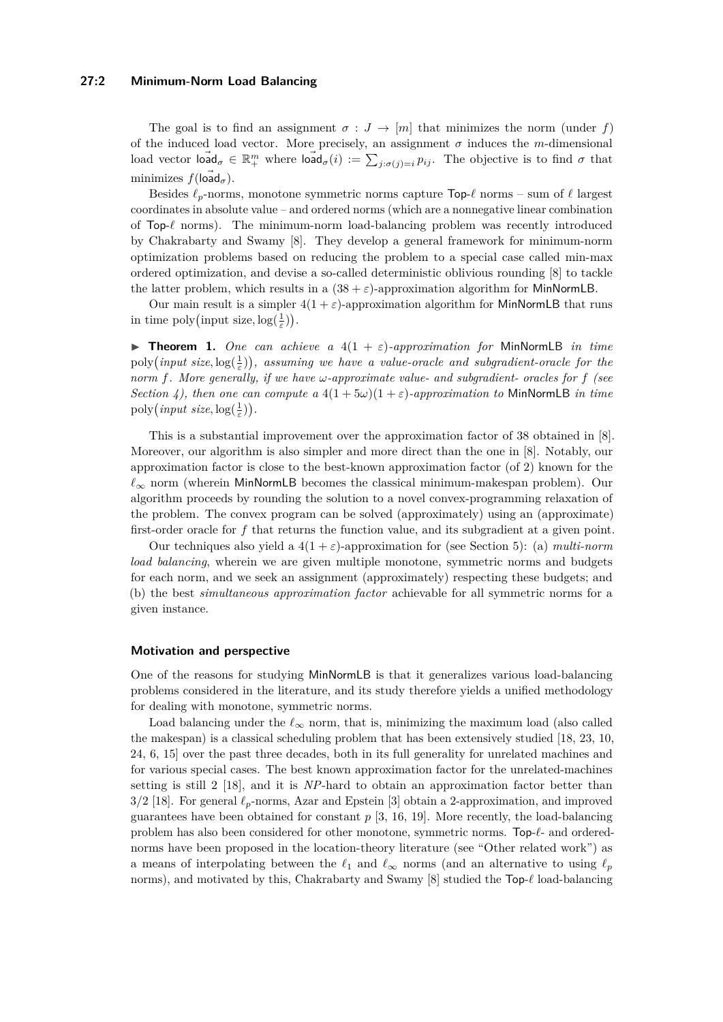#### **27:2 Minimum-Norm Load Balancing**

The goal is to find an assignment  $\sigma : J \to [m]$  that minimizes the norm (under f) of the induced load vector. More precisely, an assignment  $\sigma$  induces the *m*-dimensional  $\text{load vector } \vec{\text{load}}_{\sigma} \in \mathbb{R}^m_+ \text{ where } \vec{\text{load}}_{\sigma}(i) := \sum_{j:\sigma(j)=i} p_{ij}.$  The objective is to find  $\sigma$  that minimizes  $f(\overrightarrow{\text{load}}_{\sigma})$ .

Besides  $\ell_p$ -norms, monotone symmetric norms capture  $\text{Top-}\ell$  norms – sum of  $\ell$  largest coordinates in absolute value – and ordered norms (which are a nonnegative linear combination of Top-*`* norms). The minimum-norm load-balancing problem was recently introduced by Chakrabarty and Swamy [\[8\]](#page-11-1). They develop a general framework for minimum-norm optimization problems based on reducing the problem to a special case called min-max ordered optimization, and devise a so-called deterministic oblivious rounding [\[8\]](#page-11-1) to tackle the latter problem, which results in a  $(38 + \varepsilon)$ -approximation algorithm for MinNormLB.

Our main result is a simpler  $4(1 + \varepsilon)$ -approximation algorithm for MinNormLB that runs in time  $\text{poly}(\text{input size}, \log(\frac{1}{\varepsilon}))$ .

<span id="page-1-0"></span>**Fineorem 1.** One can achieve a  $4(1 + \varepsilon)$ -approximation for MinNormLB in time  $\text{poly}(input size, \log(\frac{1}{\varepsilon}))$ , assuming we have a value-oracle and subgradient-oracle for the *norm f. More generally, if we have ω-approximate value- and subgradient- oracles for f (see Section* [4\)](#page-5-0), then one can compute a  $4(1+5\omega)(1+\epsilon)$ -approximation to MinNormLB in time  $\text{poly}(\text{input size}, \log(\frac{1}{\varepsilon}))$ .

This is a substantial improvement over the approximation factor of 38 obtained in [\[8\]](#page-11-1). Moreover, our algorithm is also simpler and more direct than the one in [\[8\]](#page-11-1). Notably, our approximation factor is close to the best-known approximation factor (of 2) known for the  $\ell_{\infty}$  norm (wherein MinNormLB becomes the classical minimum-makespan problem). Our algorithm proceeds by rounding the solution to a novel convex-programming relaxation of the problem. The convex program can be solved (approximately) using an (approximate) first-order oracle for *f* that returns the function value, and its subgradient at a given point.

Our techniques also yield a  $4(1+\varepsilon)$ -approximation for (see Section [5\)](#page-7-0): (a) *multi-norm load balancing*, wherein we are given multiple monotone, symmetric norms and budgets for each norm, and we seek an assignment (approximately) respecting these budgets; and (b) the best *simultaneous approximation factor* achievable for all symmetric norms for a given instance.

#### **Motivation and perspective**

One of the reasons for studying MinNormLB is that it generalizes various load-balancing problems considered in the literature, and its study therefore yields a unified methodology for dealing with monotone, symmetric norms.

Load balancing under the  $\ell_{\infty}$  norm, that is, minimizing the maximum load (also called the makespan) is a classical scheduling problem that has been extensively studied [\[18,](#page-11-2) [23,](#page-11-3) [10,](#page-11-4) [24,](#page-11-5) [6,](#page-10-0) [15\]](#page-11-6) over the past three decades, both in its full generality for unrelated machines and for various special cases. The best known approximation factor for the unrelated-machines setting is still 2 [\[18\]](#page-11-2), and it is *NP*-hard to obtain an approximation factor better than  $3/2$  [\[18\]](#page-11-2). For general  $\ell_p$ -norms, Azar and Epstein [\[3\]](#page-10-1) obtain a 2-approximation, and improved guarantees have been obtained for constant  $p$  [\[3,](#page-10-1) [16,](#page-11-7) [19\]](#page-11-8). More recently, the load-balancing problem has also been considered for other monotone, symmetric norms. Top- $\ell$ - and orderednorms have been proposed in the location-theory literature (see "Other related work") as a means of interpolating between the  $\ell_1$  and  $\ell_\infty$  norms (and an alternative to using  $\ell_p$ norms), and motivated by this, Chakrabarty and Swamy  $[8]$  studied the Top- $\ell$  load-balancing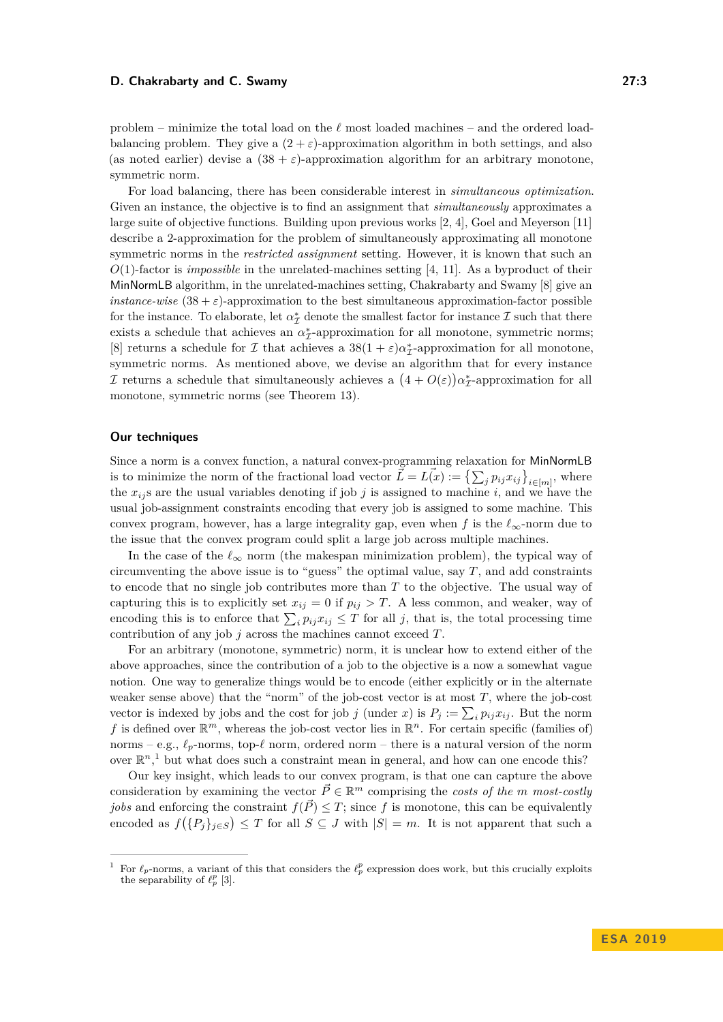problem – minimize the total load on the  $\ell$  most loaded machines – and the ordered loadbalancing problem. They give a  $(2 + \varepsilon)$ -approximation algorithm in both settings, and also (as noted earlier) devise a  $(38 + \varepsilon)$ -approximation algorithm for an arbitrary monotone, symmetric norm.

For load balancing, there has been considerable interest in *simultaneous optimization*. Given an instance, the objective is to find an assignment that *simultaneously* approximates a large suite of objective functions. Building upon previous works [\[2,](#page-10-2) [4\]](#page-10-3), Goel and Meyerson [\[11\]](#page-11-9) describe a 2-approximation for the problem of simultaneously approximating all monotone symmetric norms in the *restricted assignment* setting. However, it is known that such an *O*(1)-factor is *impossible* in the unrelated-machines setting [\[4,](#page-10-3) [11\]](#page-11-9). As a byproduct of their MinNormLB algorithm, in the unrelated-machines setting, Chakrabarty and Swamy [\[8\]](#page-11-1) give an *instance-wise*  $(38 + \varepsilon)$ -approximation to the best simultaneous approximation-factor possible for the instance. To elaborate, let  $\alpha^*_{\mathcal{I}}$  denote the smallest factor for instance  $\mathcal{I}$  such that there exists a schedule that achieves an  $\alpha_{\mathcal{I}}^*$ -approximation for all monotone, symmetric norms; [\[8\]](#page-11-1) returns a schedule for  $\mathcal I$  that achieves a  $38(1+\varepsilon)\alpha^*_{\mathcal I}$ -approximation for all monotone, symmetric norms. As mentioned above, we devise an algorithm that for every instance *I* returns a schedule that simultaneously achieves a  $(4 + O(\varepsilon))\alpha^*_{\mathcal{I}}$ -approximation for all monotone, symmetric norms (see Theorem [13\)](#page-8-0).

#### **Our techniques**

Since a norm is a convex function, a natural convex-programming relaxation for MinNormLB is to minimize the norm of the fractional load vector  $\vec{L} = L(\vec{x}) := \left\{ \sum_j p_{ij} x_{ij} \right\}_{i \in [m]},$  where the  $x_{ij}$  s are the usual variables denoting if job *j* is assigned to machine *i*, and we have the usual job-assignment constraints encoding that every job is assigned to some machine. This convex program, however, has a large integrality gap, even when  $f$  is the  $\ell_{\infty}$ -norm due to the issue that the convex program could split a large job across multiple machines.

In the case of the  $\ell_{\infty}$  norm (the makespan minimization problem), the typical way of circumventing the above issue is to "guess" the optimal value, say *T*, and add constraints to encode that no single job contributes more than *T* to the objective. The usual way of capturing this is to explicitly set  $x_{ij} = 0$  if  $p_{ij} > T$ . A less common, and weaker, way of encoding this is to enforce that  $\sum_{i} p_{ij} x_{ij} \leq T$  for all *j*, that is, the total processing time contribution of any job *j* across the machines cannot exceed *T*.

For an arbitrary (monotone, symmetric) norm, it is unclear how to extend either of the above approaches, since the contribution of a job to the objective is a now a somewhat vague notion. One way to generalize things would be to encode (either explicitly or in the alternate weaker sense above) that the "norm" of the job-cost vector is at most  $T$ , where the job-cost vector is indexed by jobs and the cost for job *j* (under *x*) is  $P_j := \sum_i p_{ij} x_{ij}$ . But the norm f is defined over  $\mathbb{R}^m$ , whereas the job-cost vector lies in  $\mathbb{R}^n$ . For certain specific (families of) norms – e.g.,  $\ell_p$ -norms, top- $\ell$  norm, ordered norm – there is a natural version of the norm over  $\mathbb{R}^n$ ,<sup>[1](#page-2-0)</sup> but what does such a constraint mean in general, and how can one encode this?

Our key insight, which leads to our convex program, is that one can capture the above consideration by examining the vector  $\vec{P} \in \mathbb{R}^m$  comprising the *costs of the m* most-costly *jobs* and enforcing the constraint  $f(\overline{P}) \leq T$ ; since f is monotone, this can be equivalently encoded as  $f(\lbrace P_j \rbrace_{j \in S}) \leq T$  for all  $S \subseteq J$  with  $|S| = m$ . It is not apparent that such a

<span id="page-2-0"></span><sup>&</sup>lt;sup>1</sup> For  $\ell_p$ -norms, a variant of this that considers the  $\ell_p^p$  expression does work, but this crucially exploits the separability of  $\ell_p^p$  [\[3\]](#page-10-1).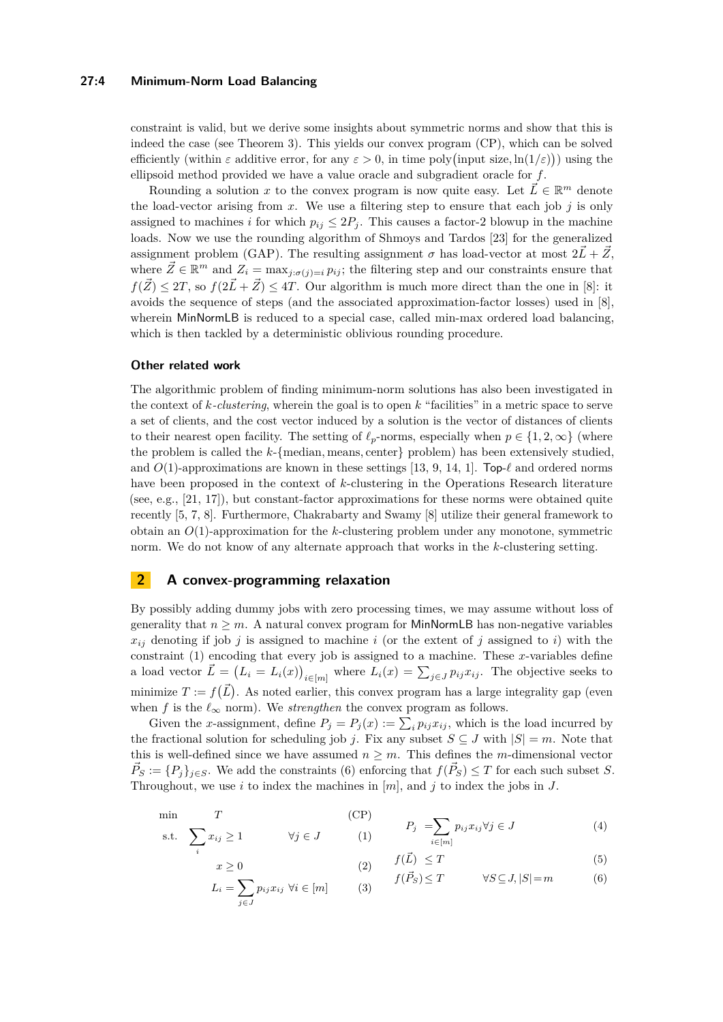## **27:4 Minimum-Norm Load Balancing**

constraint is valid, but we derive some insights about symmetric norms and show that this is indeed the case (see Theorem [3\)](#page-4-0). This yields our convex program [\(CP\)](#page-3-0), which can be solved efficiently (within  $\varepsilon$  additive error, for any  $\varepsilon > 0$ , in time poly(input size,  $\ln(1/\varepsilon)$ )) using the ellipsoid method provided we have a value oracle and subgradient oracle for *f*.

Rounding a solution *x* to the convex program is now quite easy. Let  $\vec{L} \in \mathbb{R}^m$  denote the load-vector arising from  $x$ . We use a filtering step to ensure that each job  $j$  is only assigned to machines *i* for which  $p_{ij} \leq 2P_j$ . This causes a factor-2 blowup in the machine loads. Now we use the rounding algorithm of Shmoys and Tardos [\[23\]](#page-11-3) for the generalized assignment problem (GAP). The resulting assignment  $\sigma$  has load-vector at most  $2\vec{L} + \vec{Z}$ , where  $\vec{Z} \in \mathbb{R}^m$  and  $Z_i = \max_{j: \sigma(j)=i} p_{ij}$ ; the filtering step and our constraints ensure that  $f(\vec{Z}) \leq 2T$ , so  $f(2\vec{L} + \vec{Z}) \leq 4T$ . Our algorithm is much more direct than the one in [\[8\]](#page-11-1): it avoids the sequence of steps (and the associated approximation-factor losses) used in [\[8\]](#page-11-1), wherein MinNormLB is reduced to a special case, called min-max ordered load balancing, which is then tackled by a deterministic oblivious rounding procedure.

## **Other related work**

*i*

The algorithmic problem of finding minimum-norm solutions has also been investigated in the context of *k-clustering*, wherein the goal is to open *k* "facilities" in a metric space to serve a set of clients, and the cost vector induced by a solution is the vector of distances of clients to their nearest open facility. The setting of  $\ell_p$ -norms, especially when  $p \in \{1, 2, \infty\}$  (where the problem is called the *k*-{median, means, center} problem) has been extensively studied, and  $O(1)$ -approximations are known in these settings [\[13,](#page-11-10) [9,](#page-11-11) [14,](#page-11-12) [1\]](#page-10-4). Top- $\ell$  and ordered norms have been proposed in the context of *k*-clustering in the Operations Research literature (see, e.g., [\[21,](#page-11-13) [17\]](#page-11-14)), but constant-factor approximations for these norms were obtained quite recently [\[5,](#page-10-5) [7,](#page-11-15) [8\]](#page-11-1). Furthermore, Chakrabarty and Swamy [\[8\]](#page-11-1) utilize their general framework to obtain an *O*(1)-approximation for the *k*-clustering problem under any monotone, symmetric norm. We do not know of any alternate approach that works in the *k*-clustering setting.

# **2 A convex-programming relaxation**

By possibly adding dummy jobs with zero processing times, we may assume without loss of generality that  $n \geq m$ . A natural convex program for MinNormLB has non-negative variables  $x_{ij}$  denoting if job *j* is assigned to machine *i* (or the extent of *j* assigned to *i*) with the constraint [\(1\)](#page-3-1) encoding that every job is assigned to a machine. These *x*-variables define a load vector  $\vec{L} = (L_i = L_i(x))_{i \in [m]}$  where  $L_i(x) = \sum_{j \in J} p_{ij} x_{ij}$ . The objective seeks to minimize  $T := f(\vec{L})$ . As noted earlier, this convex program has a large integrality gap (even when *f* is the  $\ell_{\infty}$  norm). We *strengthen* the convex program as follows.

Given the *x*-assignment, define  $P_j = P_j(x) := \sum_i p_{ij} x_{ij}$ , which is the load incurred by the fractional solution for scheduling job *j*. Fix any subset  $S \subseteq J$  with  $|S| = m$ . Note that this is well-defined since we have assumed  $n \geq m$ . This defines the *m*-dimensional vector  $\vec{P}_S := \{P_j\}_{j \in S}$ . We add the constraints [\(6\)](#page-3-2) enforcing that  $f(\vec{P}_S) \leq T$  for each such subset *S*. Throughout, we use *i* to index the machines in [*m*], and *j* to index the jobs in *J*.

$$
\begin{array}{ll}\n\min \quad T & \text{(CP)} \\
\text{s.t.} \quad \sum x_{ij} \ge 1 & \forall j \in J & \text{(1)}\n\end{array}\n\qquad\n\begin{array}{ll}\n\text{(CP)} & P_j = \sum_{i \in [m]} p_{ij} x_{ij} \forall j \in J\n\end{array}\n\tag{4}
$$

<span id="page-3-5"></span><span id="page-3-4"></span><span id="page-3-3"></span><span id="page-3-2"></span><span id="page-3-1"></span><span id="page-3-0"></span>
$$
x \ge 0 \qquad \qquad (2) \qquad f(\vec{L}) \le T \qquad \qquad (5)
$$

$$
L_i = \sum_{j \in J} p_{ij} x_{ij} \ \forall i \in [m] \qquad (3) \qquad f(\vec{P}_S) \le T \qquad \forall S \subseteq J, |S| = m \qquad (6)
$$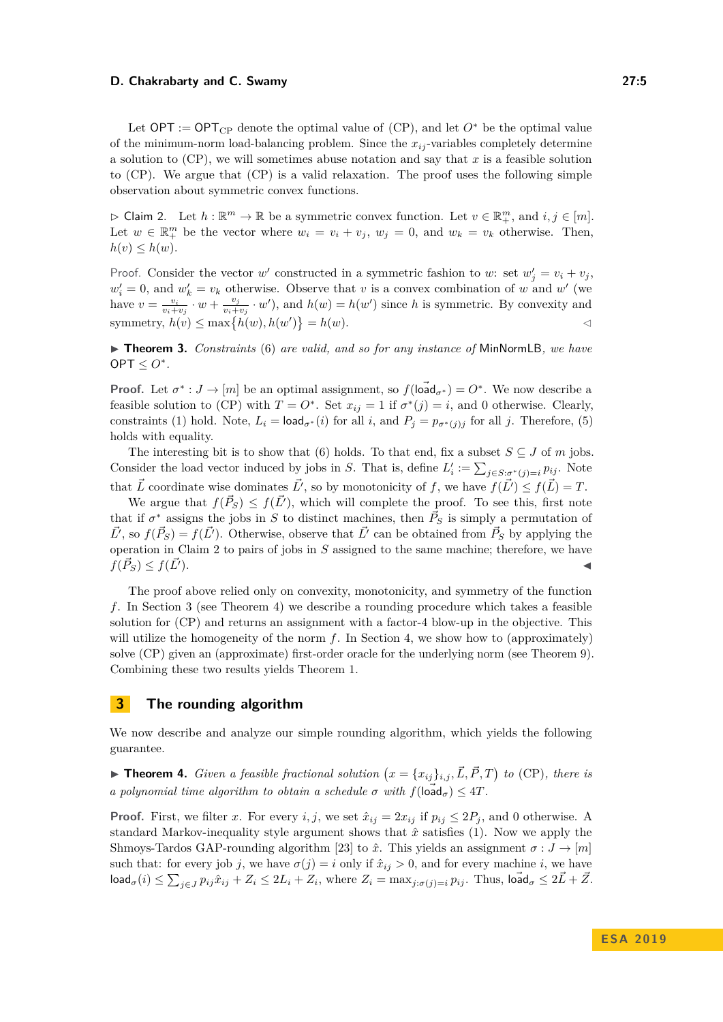Let  $OPT := OPT_{CP}$  $OPT := OPT_{CP}$  $OPT := OPT_{CP}$  denote the optimal value of  $(CP)$ , and let  $O^*$  be the optimal value of the minimum-norm load-balancing problem. Since the  $x_{ij}$ -variables completely determine a solution to [\(CP\)](#page-3-0), we will sometimes abuse notation and say that *x* is a feasible solution to [\(CP\)](#page-3-0). We argue that [\(CP\)](#page-3-0) is a valid relaxation. The proof uses the following simple observation about symmetric convex functions.

<span id="page-4-1"></span> $\triangleright$  Claim 2. Let  $h : \mathbb{R}^m \to \mathbb{R}$  be a symmetric convex function. Let  $v \in \mathbb{R}^m_+$ , and  $i, j \in [m]$ . Let  $w \in \mathbb{R}^m_+$  be the vector where  $w_i = v_i + v_j$ ,  $w_j = 0$ , and  $w_k = v_k$  otherwise. Then,  $h(v) \leq h(w)$ .

Proof. Consider the vector *w*' constructed in a symmetric fashion to *w*: set  $w'_j = v_i + v_j$ ,  $w'_{i} = 0$ , and  $w'_{k} = v_{k}$  otherwise. Observe that *v* is a convex combination of *w* and *w*<sup>'</sup> (we have  $v = \frac{v_i}{v_i + v_j} \cdot w + \frac{v_j}{v_i + v_j}$  $\frac{v_j}{v_i + v_j} \cdot w'$ , and  $h(w) = h(w')$  since *h* is symmetric. By convexity and symmetry,  $h(v) \le \max\{h(w), h(w')\} = h(w)$ .

<span id="page-4-0"></span>▶ **Theorem 3.** *Constraints* [\(6\)](#page-3-2) *are valid, and so for any instance of* MinNormLB, we have  $OPT \leq O^*$ .

**Proof.** Let  $\sigma^*: J \to [m]$  be an optimal assignment, so  $f(\overrightarrow{\text{load}}_{\sigma^*}) = O^*$ . We now describe a feasible solution to [\(CP\)](#page-3-0) with  $T = O^*$ . Set  $x_{ij} = 1$  if  $\sigma^*(j) = i$ , and 0 otherwise. Clearly, constraints [\(1\)](#page-3-1) hold. Note,  $L_i = \text{load}_{\sigma^*}(i)$  for all *i*, and  $P_j = p_{\sigma^*(j)j}$  for all *j*. Therefore, [\(5\)](#page-3-3) holds with equality.

The interesting bit is to show that [\(6\)](#page-3-2) holds. To that end, fix a subset  $S \subseteq J$  of *m* jobs. Consider the load vector induced by jobs in *S*. That is, define  $L'_i := \sum_{j \in S: \sigma^*(j) = i} p_{ij}$ . Note that  $\vec{L}$  coordinate wise dominates  $\vec{L'}$ , so by monotonicity of *f*, we have  $f(\vec{L'}) \leq f(\vec{L}) = T$ .

We argue that  $f(\vec{P}_S) \leq f(\vec{L}')$ , which will complete the proof. To see this, first note that if  $\sigma^*$  assigns the jobs in *S* to distinct machines, then  $\vec{P}_S$  is simply a permutation of  $\vec{L'}$ , so  $f(\vec{P}_S) = f(\vec{L'})$ . Otherwise, observe that  $\vec{L'}$  can be obtained from  $\vec{P}_S$  by applying the operation in Claim [2](#page-4-1) to pairs of jobs in *S* assigned to the same machine; therefore, we have  $f(\vec{P}_S) \leq f(\vec{L'})$ .

The proof above relied only on convexity, monotonicity, and symmetry of the function *f*. In Section [3](#page-4-2) (see Theorem [4\)](#page-4-3) we describe a rounding procedure which takes a feasible solution for [\(CP\)](#page-3-0) and returns an assignment with a factor-4 blow-up in the objective. This will utilize the homogeneity of the norm *f*. In Section [4,](#page-5-0) we show how to (approximately) solve [\(CP\)](#page-3-0) given an (approximate) first-order oracle for the underlying norm (see Theorem [9\)](#page-6-0). Combining these two results yields Theorem [1.](#page-1-0)

# <span id="page-4-2"></span>**3 The rounding algorithm**

We now describe and analyze our simple rounding algorithm, which yields the following guarantee.

<span id="page-4-3"></span>**Findment 4.** Given a feasible fractional solution  $(x = \{x_{ij}\}_{i,j}, \vec{L}, \vec{P}, T)$  to [\(CP\)](#page-3-0), there is *a polynomial time algorithm to obtain a schedule*  $\sigma$  *with*  $f(\overrightarrow{load}_{\sigma}) \leq 4T$ .

**Proof.** First, we filter *x*. For every *i, j*, we set  $\hat{x}_{ij} = 2x_{ij}$  if  $p_{ij} \leq 2P_j$ , and 0 otherwise. A standard Markov-inequality style argument shows that  $\hat{x}$  satisfies [\(1\)](#page-3-1). Now we apply the Shmoys-Tardos GAP-rounding algorithm [\[23\]](#page-11-3) to  $\hat{x}$ . This yields an assignment  $\sigma : J \to [m]$ such that: for every job *j*, we have  $\sigma(j) = i$  only if  $\hat{x}_{ij} > 0$ , and for every machine *i*, we have  $\textsf{load}_{\sigma}(i) \leq \sum_{j \in J} p_{ij} \hat{x}_{ij} + Z_i \leq 2L_i + Z_i$ , where  $Z_i = \max_{j: \sigma(j)=i} p_{ij}$ . Thus,  $\textsf{load}_{\sigma} \leq 2\vec{L} + \vec{Z}$ .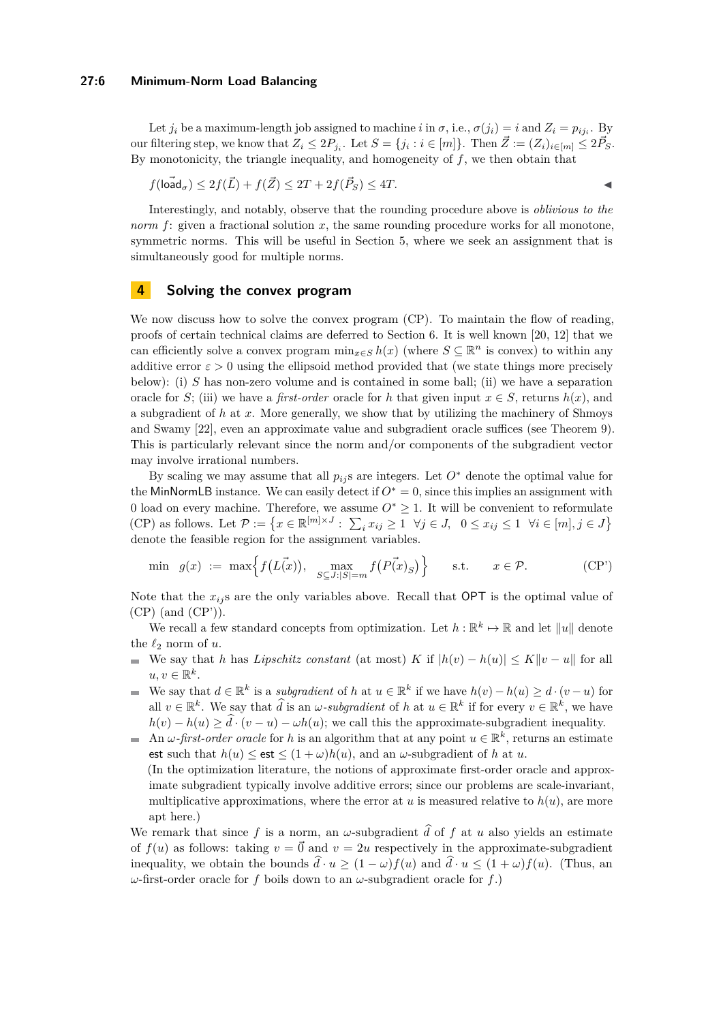### **27:6 Minimum-Norm Load Balancing**

Let  $j_i$  be a maximum-length job assigned to machine *i* in  $\sigma$ , i.e.,  $\sigma(j_i) = i$  and  $Z_i = p_{ij_i}$ . By our filtering step, we know that  $Z_i \leq 2P_{j_i}$ . Let  $S = \{j_i : i \in [m]\}$ . Then  $\vec{Z} := (Z_i)_{i \in [m]} \leq 2\vec{P}_S$ . By monotonicity, the triangle inequality, and homogeneity of *f*, we then obtain that

$$
f(\overrightarrow{\text{load}}_{\sigma}) \le 2f(\overrightarrow{L}) + f(\overrightarrow{Z}) \le 2T + 2f(\overrightarrow{P}_S) \le 4T.
$$

Interestingly, and notably, observe that the rounding procedure above is *oblivious to the norm* f: given a fractional solution x, the same rounding procedure works for all monotone, symmetric norms. This will be useful in Section [5,](#page-7-0) where we seek an assignment that is simultaneously good for multiple norms.

# <span id="page-5-0"></span>**4 Solving the convex program**

We now discuss how to solve the convex program [\(CP\)](#page-3-0). To maintain the flow of reading, proofs of certain technical claims are deferred to Section [6.](#page-9-0) It is well known [\[20,](#page-11-16) [12\]](#page-11-17) that we can efficiently solve a convex program  $\min_{x \in S} h(x)$  (where  $S \subseteq \mathbb{R}^n$  is convex) to within any additive error  $\varepsilon > 0$  using the ellipsoid method provided that (we state things more precisely below): (i) *S* has non-zero volume and is contained in some ball; (ii) we have a separation oracle for *S*; (iii) we have a *first-order* oracle for *h* that given input  $x \in S$ , returns  $h(x)$ , and a subgradient of *h* at *x*. More generally, we show that by utilizing the machinery of Shmoys and Swamy [\[22\]](#page-11-18), even an approximate value and subgradient oracle suffices (see Theorem [9\)](#page-6-0). This is particularly relevant since the norm and/or components of the subgradient vector may involve irrational numbers.

By scaling we may assume that all  $p_{ij}$  are integers. Let  $O^*$  denote the optimal value for the MinNormLB instance. We can easily detect if  $O<sup>*</sup> = 0$ , since this implies an assignment with 0 load on every machine. Therefore, we assume *O*<sup>∗</sup> ≥ 1. It will be convenient to reformulate [\(CP\)](#page-3-0) as follows. Let  $\mathcal{P} := \left\{ x \in \mathbb{R}^{[m] \times J} : \sum_i x_{ij} \ge 1 \ \ \forall j \in J, \ \ 0 \le x_{ij} \le 1 \ \ \forall i \in [m], j \in J \right\}$ denote the feasible region for the assignment variables.

<span id="page-5-1"></span>
$$
\min \quad g(x) \ := \ \max \Big\{ f(L(\vec{x})), \ \ \max_{S \subseteq J : |S| = m} f(P(\vec{x})_S) \Big\} \qquad \text{s.t.} \qquad x \in \mathcal{P}.\tag{CP'}
$$

Note that the  $x_{ij}$  s are the only variables above. Recall that  $\text{OPT}$  is the optimal value of [\(CP\)](#page-3-0) (and [\(CP'\)](#page-5-1)).

We recall a few standard concepts from optimization. Let  $h : \mathbb{R}^k \to \mathbb{R}$  and let  $||u||$  denote the  $\ell_2$  norm of  $u$ .

- We say that *h* has *Lipschitz constant* (at most) *K* if  $|h(v) h(u)| \le K ||v u||$  for all  $u, v \in \mathbb{R}^k$ .
- We say that  $d \in \mathbb{R}^k$  is a *subgradient* of *h* at  $u \in \mathbb{R}^k$  if we have  $h(v) h(u) \geq d \cdot (v u)$  for all  $v \in \mathbb{R}^k$ . We say that  $\widehat{d}$  is an  $\omega$ *-subgradient* of *h* at  $u \in \mathbb{R}^k$  if for every  $v \in \mathbb{R}^k$ , we have  $h(v) - h(u) \geq d \cdot (v - u) - \omega h(u)$ ; we call this the approximate-subgradient inequality.
- An  $\omega$ -first-order oracle for h is an algorithm that at any point  $u \in \mathbb{R}^k$ , returns an estimate est such that  $h(u) \leq \text{est} \leq (1 + \omega)h(u)$ , and an  $\omega$ -subgradient of *h* at *u*. (In the optimization literature, the notions of approximate first-order oracle and approximate subgradient typically involve additive errors; since our problems are scale-invariant, multiplicative approximations, where the error at  $u$  is measured relative to  $h(u)$ , are more apt here.)

We remark that since f is a norm, an  $\omega$ -subgradient  $\hat{d}$  of f at *u* also yields an estimate of  $f(u)$  as follows: taking  $v = \vec{0}$  and  $v = 2u$  respectively in the approximate-subgradient inequality, we obtain the bounds  $\hat{d} \cdot u \geq (1 - \omega)f(u)$  and  $\hat{d} \cdot u \leq (1 + \omega)f(u)$ . (Thus, an *ω*-first-order oracle for *f* boils down to an *ω*-subgradient oracle for *f*.)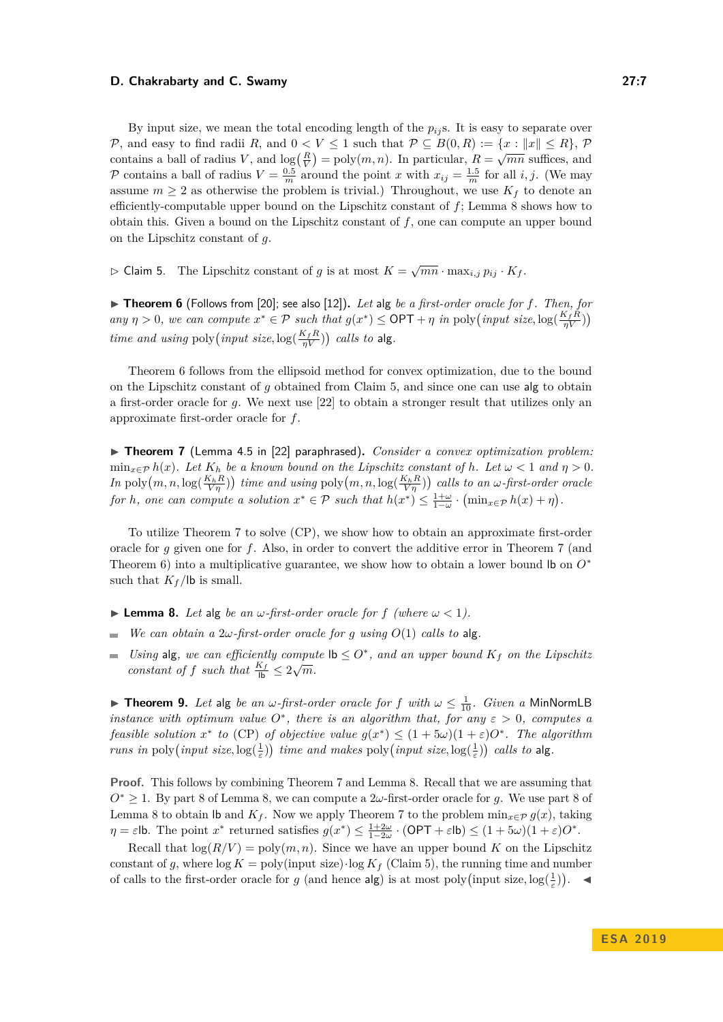By input size, we mean the total encoding length of the  $p_{ij}$ s. It is easy to separate over P, and easy to find radii R, and  $0 < V \le 1$  such that  $P \subseteq B(0,R) := \{x : ||x|| \le R\}$ , P *c*, and easy to find radii *n*, and  $0 \leq r \leq 1$  such that  $r \leq D(0, n)$ .  $\Rightarrow \{x : \|x\| \leq n\}$ ,  $r$  contains a ball of radius *V*, and  $\log(\frac{R}{V}) = \text{poly}(m, n)$ . In particular,  $R = \sqrt{mn}$  suffices, and P contains a ball of radius  $V = \frac{0.5}{m}$  around the point *x* with  $x_{ij} = \frac{1.5}{m}$  for all *i, j*. (We may assume  $m \geq 2$  as otherwise the problem is trivial.) Throughout, we use  $K_f$  to denote an efficiently-computable upper bound on the Lipschitz constant of *f*; Lemma [8](#page-6-1) shows how to obtain this. Given a bound on the Lipschitz constant of  $f$ , one can compute an upper bound on the Lipschitz constant of *g*.

<span id="page-6-3"></span> $\triangleright$  Claim 5. The Lipschitz constant of *g* is at most  $K = \sqrt{mn} \cdot \max_{i,j} p_{ij} \cdot K_f$ .

<span id="page-6-2"></span>▶ Theorem 6 (Follows from [\[20\]](#page-11-16); see also [\[12\]](#page-11-17)). Let alg be a first-order oracle for f. Then, for *any*  $\eta > 0$ *, we can compute*  $x^* \in \mathcal{P}$  *such that*  $g(x^*) \le \text{OPT} + \eta$  *in* poly $\left(\frac{input}{\eta V}, \frac{W}{\eta V}\right)$ *time and using* poly $\left($ *input size*,  $\log(\frac{K_f R}{nV})\right)$  *calls to* alg.

Theorem [6](#page-6-2) follows from the ellipsoid method for convex optimization, due to the bound on the Lipschitz constant of *g* obtained from Claim [5,](#page-6-3) and since one can use alg to obtain a first-order oracle for *g*. We next use [\[22\]](#page-11-18) to obtain a stronger result that utilizes only an approximate first-order oracle for *f*.

<span id="page-6-4"></span>▶ **Theorem 7** (Lemma 4.5 in [\[22\]](#page-11-18) paraphrased). *Consider a convex optimization problem:*  $\min_{x \in \mathcal{P}} h(x)$ *. Let*  $K_h$  *be a known bound on the Lipschitz constant of h. Let*  $\omega < 1$  *and*  $\eta > 0$ *.*  $In$  poly $(m, n, \log(\frac{K_h R}{V\eta}))$  time and using poly $(m, n, \log(\frac{K_h R}{V\eta}))$  calls to an  $\omega$ -first-order oracle *for h*, one can compute a solution  $x^* \in \mathcal{P}$  such that  $h(x^*) \leq \frac{1+\omega}{1-\omega} \cdot (\min_{x \in \mathcal{P}} h(x) + \eta)$ .

To utilize Theorem [7](#page-6-4) to solve [\(CP\)](#page-3-0), we show how to obtain an approximate first-order oracle for *g* given one for *f*. Also, in order to convert the additive error in Theorem [7](#page-6-4) (and Theorem [6\)](#page-6-2) into a multiplicative guarantee, we show how to obtain a lower bound lb on *O*<sup>∗</sup> such that  $K_f$ /lb is small.

- <span id="page-6-1"></span> $\blacktriangleright$  **Lemma 8.** Let alg be an  $\omega$ -first-order oracle for f (where  $\omega < 1$ ).
- *We can obtain a*  $2\omega$ -first-order oracle for *q using*  $O(1)$  *calls to* alg. ÷
- *Using* alg, we can efficiently compute  $\mathsf{lb} \leq O^*$ , and an upper bound  $K_f$  on the Lipschitz *constant of f such that*  $\frac{K_f}{lb} \leq 2\sqrt{m}$ *.*

<span id="page-6-0"></span>**Find 10.** *Let* alg *be an*  $\omega$ *-first-order oracle for f with*  $\omega \leq \frac{1}{10}$ *. Given a* MinNormLB *instance with optimum value*  $O^*$ , there is an algorithm that, for any  $\varepsilon > 0$ , computes a *feasible solution*  $x^*$  *to* [\(CP\)](#page-3-0) *of objective value*  $g(x^*) \leq (1 + 5\omega)(1 + \varepsilon)O^*$ . The algorithm *runs in* poly $\left($ *input size*,  $\log(\frac{1}{\varepsilon})\right)$  *time and makes* poly $\left($ *input size*,  $\log(\frac{1}{\varepsilon})\right)$  *calls to* alg.

**Proof.** This follows by combining Theorem [7](#page-6-4) and Lemma [8.](#page-6-1) Recall that we are assuming that *O*<sup>∗</sup> ≥ 1. By part [8](#page-6-1) of Lemma [8,](#page-6-1) we can compute a 2*ω*-first-order oracle for *g*. We use part [8](#page-6-1) of Lemma [8](#page-6-1) to obtain lb and  $K_f$ . Now we apply Theorem [7](#page-6-4) to the problem  $\min_{x \in \mathcal{P}} g(x)$ , taking  $\eta = \varepsilon$ lb. The point  $x^*$  returned satisfies  $g(x^*) \leq \frac{1+2\omega}{1-2\omega} \cdot (\text{OPT} + \varepsilon \text{lb}) \leq (1+5\omega)(1+\varepsilon)O^*$ .

Recall that  $\log(R/V) = \text{poly}(m, n)$ . Since we have an upper bound K on the Lipschitz constant of g, where  $\log K = \text{poly}(\text{input size}) \cdot \log K_f$  (Claim [5\)](#page-6-3), the running time and number of calls to the first-order oracle for *g* (and hence  $\text{alg}$ ) is at most poly(input size,  $\log(\frac{1}{\varepsilon})$ ).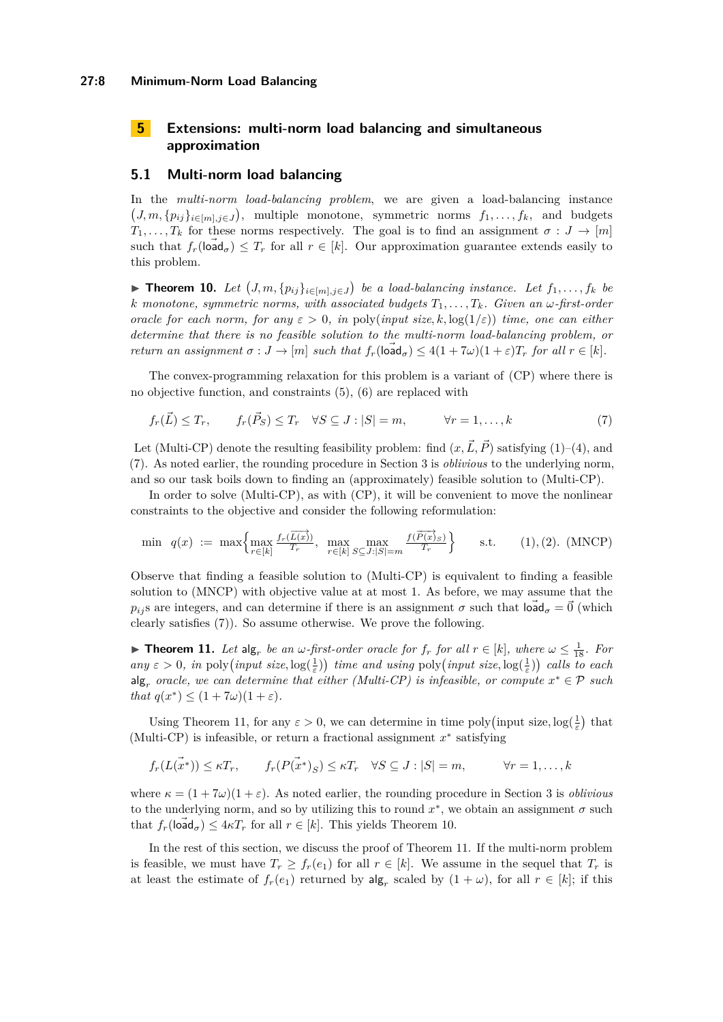### **27:8 Minimum-Norm Load Balancing**

# <span id="page-7-0"></span>**5 Extensions: multi-norm load balancing and simultaneous approximation**

## **5.1 Multi-norm load balancing**

In the *multi-norm load-balancing problem*, we are given a load-balancing instance  $(J, m, \{p_{ij}\}_{i \in [m], j \in J})$ , multiple monotone, symmetric norms  $f_1, \ldots, f_k$ , and budgets *T*<sub>1</sub>, ..., *T*<sub>*k*</sub> for these norms respectively. The goal is to find an assignment  $\sigma: J \to [m]$ such that  $f_r(\overrightarrow{\text{load}}_{\sigma}) \leq T_r$  for all  $r \in [k]$ . Our approximation guarantee extends easily to this problem.

<span id="page-7-4"></span>▶ **Theorem 10.** Let  $(J, m, \{p_{ij}\}_{i \in [m], j \in J})$  be a load-balancing instance. Let  $f_1, \ldots, f_k$  be *k* monotone, symmetric norms, with associated budgets  $T_1, \ldots, T_k$ *. Given an*  $\omega$ -first-order *oracle for each norm, for any*  $\varepsilon > 0$ , *in* poly(*input size, k,* log( $1/\varepsilon$ )) *time, one can either determine that there is no feasible solution to the multi-norm load-balancing problem, or return an assignment*  $\sigma: J \to [m]$  *such that*  $f_r(\tilde{\text{load}}_{\sigma}) \leq 4(1+7\omega)(1+\varepsilon)T_r$  *for all*  $r \in [k]$ *.* 

The convex-programming relaxation for this problem is a variant of [\(CP\)](#page-3-0) where there is no objective function, and constraints [\(5\)](#page-3-3), [\(6\)](#page-3-2) are replaced with

<span id="page-7-1"></span>
$$
f_r(\vec{L}) \le T_r, \qquad f_r(\vec{P}_S) \le T_r \quad \forall S \subseteq J : |S| = m, \qquad \forall r = 1, ..., k \tag{7}
$$

Let (Multi-CP) denote the resulting feasibility problem: find  $(x, \vec{L}, \vec{P})$  satisfying [\(1\)](#page-3-1)–[\(4\)](#page-3-4), and [\(7\)](#page-7-1). As noted earlier, the rounding procedure in Section [3](#page-4-2) is *oblivious* to the underlying norm, and so our task boils down to finding an (approximately) feasible solution to (Multi-CP).

In order to solve (Multi-CP), as with [\(CP\)](#page-3-0), it will be convenient to move the nonlinear constraints to the objective and consider the following reformulation:

<span id="page-7-5"></span><span id="page-7-2"></span>
$$
\min \ q(x) := \max \left\{ \max_{r \in [k]} \frac{f_r(\overrightarrow{L(x)})}{T_r}, \ \max_{r \in [k]} \max_{S \subseteq J : |S| = m} \frac{f(\overrightarrow{P(x)}_{S})}{T_r} \right\} \quad \text{s.t.} \quad (1), (2). \text{ (MNCP)}
$$

Observe that finding a feasible solution to (Multi-CP) is equivalent to finding a feasible solution to [\(MNCP\)](#page-7-2) with objective value at at most 1. As before, we may assume that the *p*<sub>*ij*</sub> s are integers, and can determine if there is an assignment  $\sigma$  such that  $\overrightarrow{\text{load}}_{\sigma} = \overrightarrow{0}$  (which clearly satisfies [\(7\)](#page-7-1)). So assume otherwise. We prove the following.

<span id="page-7-3"></span>► **Theorem 11.** *Let*  $\text{alg}_r$  *be an*  $\omega$ -first-order oracle for  $f_r$  for all  $r \in [k]$ , where  $\omega \leq \frac{1}{18}$ . For  $any \varepsilon > 0$ , in poly $\left($ *input size*,  $log(\frac{1}{\varepsilon})\right)$  *time and using* poly $\left($ *input size*,  $log(\frac{1}{\varepsilon})\right)$  *calls to each*  $\text{alg}_r$  *oracle, we can determine that either (Multi-CP) is infeasible, or compute*  $x^* \in \mathcal{P}$  *such that*  $q(x^*) \leq (1 + 7\omega)(1 + \varepsilon)$ *.* 

Using Theorem [11,](#page-7-3) for any  $\varepsilon > 0$ , we can determine in time poly (input size,  $\log(\frac{1}{\varepsilon})$  that (Multi-CP) is infeasible, or return a fractional assignment  $x^*$  satisfying

$$
f_r(L(\vec{x}^*)) \leq \kappa T_r
$$
,  $f_r(P(\vec{x}^*)_S) \leq \kappa T_r \quad \forall S \subseteq J : |S| = m$ ,  $\forall r = 1,..., k$ 

where  $\kappa = (1 + 7\omega)(1 + \varepsilon)$ . As noted earlier, the rounding procedure in Section [3](#page-4-2) is *oblivious* to the underlying norm, and so by utilizing this to round  $x^*$ , we obtain an assignment  $\sigma$  such that  $f_r(\overrightarrow{\text{load}}_{\sigma}) \leq 4\kappa T_r$  for all  $r \in [k]$ . This yields Theorem [10.](#page-7-4)

In the rest of this section, we discuss the proof of Theorem [11.](#page-7-3) If the multi-norm problem is feasible, we must have  $T_r \geq f_r(e_1)$  for all  $r \in [k]$ . We assume in the sequel that  $T_r$  is at least the estimate of  $f_r(e_1)$  returned by  $\text{alg}_r$  scaled by  $(1 + \omega)$ , for all  $r \in [k]$ ; if this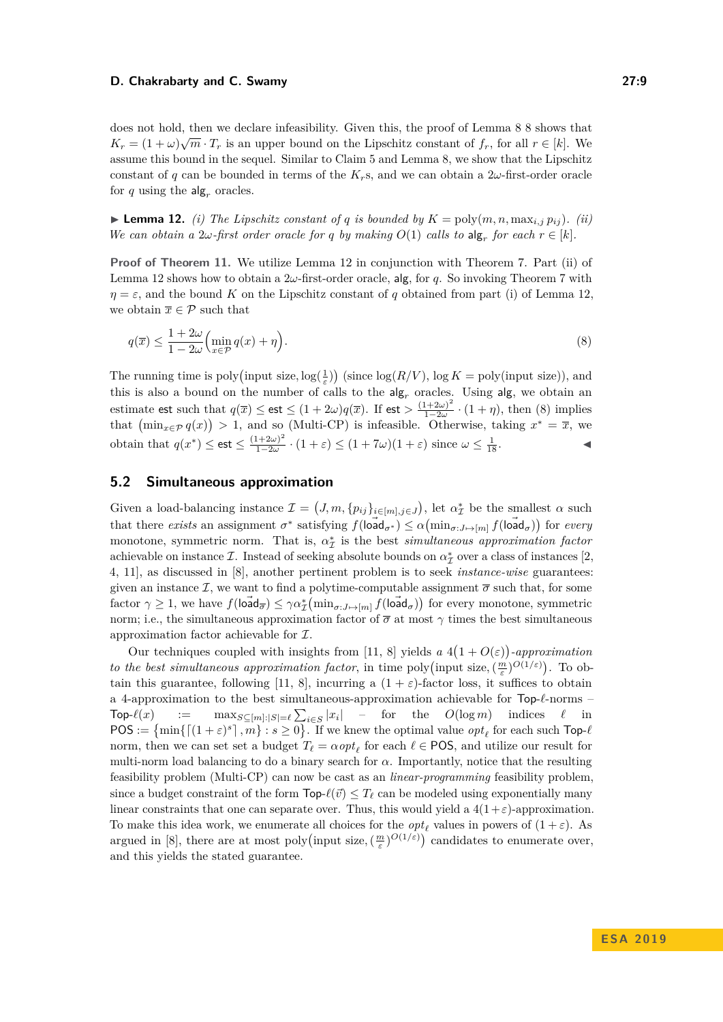does not hold, then we declare infeasibility. Given this, the proof of Lemma [8 8](#page-6-1) shows that  $K_r = (1 + \omega)\sqrt{m} \cdot T_r$  is an upper bound on the Lipschitz constant of  $f_r$ , for all  $r \in [k]$ . We assume this bound in the sequel. Similar to Claim [5](#page-6-3) and Lemma [8,](#page-6-1) we show that the Lipschitz constant of *q* can be bounded in terms of the  $K_r$ s, and we can obtain a  $2\omega$ -first-order oracle for  $q$  using the  $\text{alg}_r$  oracles.

<span id="page-8-1"></span>**Example 12.** *(i)* The Lipschitz constant of *q* is bounded by  $K = \text{poly}(m, n, \max_{i,j} p_{ij})$ . *(ii) We can obtain a*  $2\omega$ -first order oracle for *q* by making  $O(1)$  calls to  $\text{alg}_r$  for each  $r \in [k]$ .

**Proof of Theorem [11.](#page-7-3)** We utilize Lemma [12](#page-8-1) in conjunction with Theorem [7.](#page-6-4) Part (ii) of Lemma [12](#page-8-1) shows how to obtain a 2*ω*-first-order oracle, alg, for *q*. So invoking Theorem [7](#page-6-4) with  $\eta = \varepsilon$ , and the bound *K* on the Lipschitz constant of *q* obtained from part (i) of Lemma [12,](#page-8-1) we obtain  $\overline{x} \in \mathcal{P}$  such that

$$
q(\overline{x}) \le \frac{1+2\omega}{1-2\omega} \left( \min_{x \in \mathcal{P}} q(x) + \eta \right). \tag{8}
$$

The running time is poly(input size,  $\log(\frac{1}{\varepsilon})$ ) (since  $\log(R/V)$ ,  $\log K = \text{poly}(\text{input size})$ ), and this is also a bound on the number of calls to the  $\mathsf{alg}_r$  oracles. Using  $\mathsf{alg}$ , we obtain an estimate est such that  $q(\overline{x}) \leq \text{est} \leq (1+2\omega)q(\overline{x})$ . If  $\text{est} > \frac{(1+2\omega)^2}{1-2\omega}$  $\frac{1+2\omega}{1-2\omega}$  ·  $(1+\eta)$ , then [\(8\)](#page-7-5) implies that  $(\min_{x \in \mathcal{P}} q(x)) > 1$ , and so  $(Multi-CP)$  is infeasible. Otherwise, taking  $x^* = \overline{x}$ , we obtain that  $q(x^*) \le \text{est} \le \frac{(1+2\omega)^2}{1-2\omega} \cdot (1+\varepsilon) \le (1+7\omega)(1+\varepsilon)$  since  $\omega \le \frac{1}{18}$ . obtain that  $q(x^*) \leq \mathsf{est} \leq \frac{(1+2\omega)}{1-2\omega}$  $\frac{(1+2\omega)^2}{1-2\omega} \cdot (1+\varepsilon) \le (1+7\omega)(1+\varepsilon)$  since  $\omega \le \frac{1}{18}$ 

## **5.2 Simultaneous approximation**

Given a load-balancing instance  $\mathcal{I} = (J, m, \{p_{ij}\}_{i \in [m], j \in J})$ , let  $\alpha^*_{\mathcal{I}}$  be the smallest  $\alpha$  such that there *exists* an assignment  $\sigma^*$  satisfying  $f(\tilde{\text{load}}_{\sigma^*}) \leq \alpha(\min_{\sigma: J \mapsto [m]} f(\tilde{\text{load}}_{\sigma}))$  for *every* monotone, symmetric norm. That is,  $\alpha^*_{\mathcal{I}}$  is the best *simultaneous approximation factor* achievable on instance  $\mathcal I$ . Instead of seeking absolute bounds on  $\alpha^*_{\mathcal I}$  over a class of instances [\[2,](#page-10-2) [4,](#page-10-3) [11\]](#page-11-9), as discussed in [\[8\]](#page-11-1), another pertinent problem is to seek *instance-wise* guarantees: given an instance  $\mathcal{I}$ , we want to find a polytime-computable assignment  $\bar{\sigma}$  such that, for some  $\text{factor } \gamma \geq 1$ , we have  $f(\overrightarrow{\text{load}}_{\overline{\sigma}}) \leq \gamma \alpha^*_{\mathcal{I}}(\overrightarrow{\text{min}}_{\sigma:J\mapsto[m]} f(\overrightarrow{\text{load}}_{\sigma}))$  for every monotone, symmetric norm; i.e., the simultaneous approximation factor of  $\bar{\sigma}$  at most  $\gamma$  times the best simultaneous approximation factor achievable for I.

<span id="page-8-0"></span>Our techniques coupled with insights from [\[11,](#page-11-9) [8\]](#page-11-1) yields  $a \ 4(1+O(\varepsilon))$ -approximation *to the best simultaneous approximation factor, in time poly (input size,*  $(\frac{m}{\varepsilon})^{O(1/\varepsilon)}$ *). To ob-*tain this guarantee, following [\[11,](#page-11-9) [8\]](#page-11-1), incurring a  $(1 + \varepsilon)$ -factor loss, it suffices to obtain a 4-approximation to the best simultaneous-approximation achievable for  $Top-\ell$ -norms –  $\mathsf{Top}\text{-}\ell(x)$  :=  $\max_{S \subseteq [m]:|S| = \ell} \sum_{i \in S} |x_i|$  – for the  $O(\log m)$  indices  $\ell$  in  $POS := \{ \min\{ \lceil (1+\varepsilon)^s \rceil, m \} : s \ge 0 \}.$  If we knew the optimal value  $opt_\ell$  for each such  $\text{Top-}\ell$ norm, then we can set set a budget  $T_\ell = \alpha \rho p t_\ell$  for each  $\ell \in \text{POS}$ , and utilize our result for multi-norm load balancing to do a binary search for  $\alpha$ . Importantly, notice that the resulting feasibility problem (Multi-CP) can now be cast as an *linear-programming* feasibility problem, since a budget constraint of the form  $\text{Top-}\ell(\vec{v}) \leq T_\ell$  can be modeled using exponentially many linear constraints that one can separate over. Thus, this would yield a  $4(1+\varepsilon)$ -approximation. To make this idea work, we enumerate all choices for the  $opt_\ell$  values in powers of  $(1 + \varepsilon)$ . As argued in [\[8\]](#page-11-1), there are at most poly(input size,  $(\frac{m}{\varepsilon})^{O(1/\varepsilon)}$ ) candidates to enumerate over, and this yields the stated guarantee.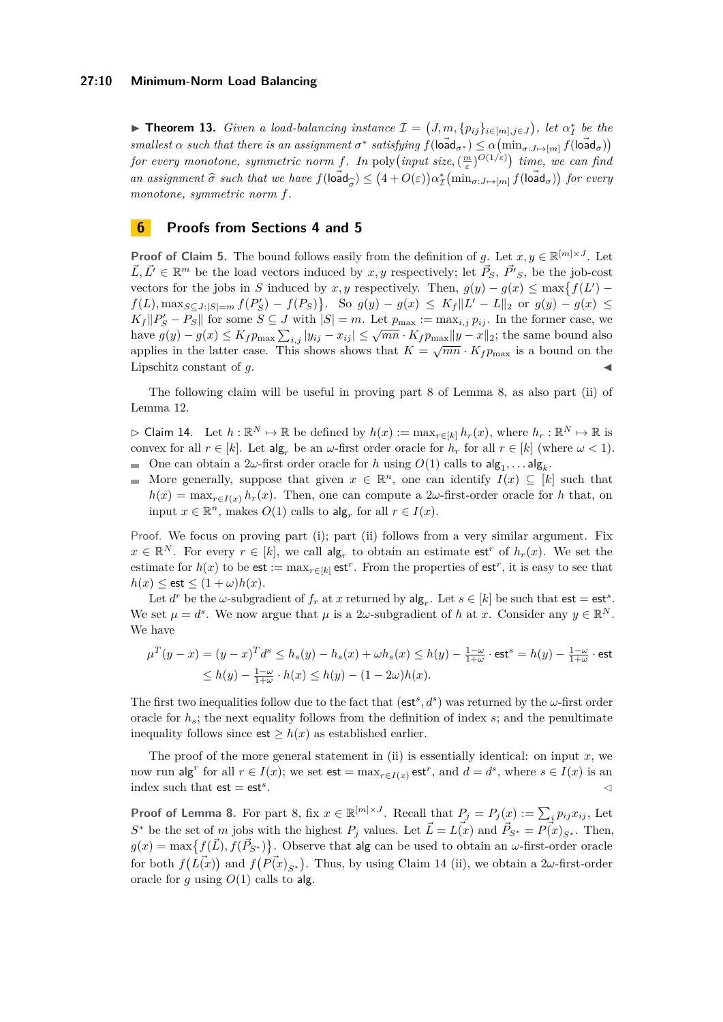#### **27:10 Minimum-Norm Load Balancing**

▶ **Theorem 13.** *Given a load-balancing instance*  $\mathcal{I} = (J, m, \{p_{ij}\}_{i \in [m], j \in J})$ , let  $\alpha_I^*$  be the  $s$ *mallest*  $\alpha$  *such that there is an assignment*  $\sigma^*$  *satisfying*  $f(\overrightarrow{\text{load}}_{\sigma^*}) \leq \alpha(\min_{\sigma: J \mapsto [m]} f(\overrightarrow{\text{load}}_{\sigma}))$ *for every monotone, symmetric norm f.* In poly $\left($ *input size*,  $\left(\frac{m}{\varepsilon}\right)^{O(1/\varepsilon)}\right)$  *time, we can find an assignment*  $\hat{\sigma}$  *such that we have*  $f$ (load  $\sigma_{\sigma}$ )  $\leq (4 + O(\varepsilon)) \alpha_{\mathcal{I}}^* \left( \min_{\sigma: J \mapsto [m]} f(\text{load}_{\sigma}) \right)$  for every *monotone, symmetric norm f.*

# <span id="page-9-0"></span>**6 Proofs from Sections [4](#page-5-0) and [5](#page-7-0)**

**Proof of Claim [5.](#page-6-3)** The bound follows easily from the definition of *g*. Let  $x, y \in \mathbb{R}^{[m] \times J}$ . Let  $\vec{L}, \vec{L'} \in \mathbb{R}^m$  be the load vectors induced by  $x, y$  respectively; let  $\vec{P}_S$ ,  $\vec{P'}_S$ , be the job-cost vectors for the jobs in *S* induced by *x*, *y* respectively. Then,  $g(y) - g(x) \le \max\{f(L') - f(x)\}$  $f(L)$ ,  $\max_{S \subseteq J: |S| = m} f(P'_S) - f(P_S)$ . So  $g(y) - g(x) \le K_f ||L' - L||_2$  or  $g(y) - g(x) \le$  $K_f||P'_S - P_S||$  for some  $S \subseteq J$  with  $|S| = m$ . Let  $p_{\max} := \max_{i,j} p_{ij}$ . In the former case, we  $\lim_{y \to \infty} \frac{f(x, y)}{f(y)} = \lim_{y \to \infty} \frac{f(y)}{f(y)} = \lim_{y \to \infty} \frac{f(y)}{f(y)} = \lim_{y \to \infty} \frac{f(x, y)}{f(y)} = \lim_{y \to \infty} \frac{f(y)}{f(y)} = \lim_{y \to \infty} \frac{f(y)}{f(y)} = \lim_{y \to \infty} \frac{f(y)}{f(y)} = \lim_{y \to \infty} \frac{f(y)}{f(y)} = \lim_{y \to \infty} \frac{f(y)}{f(y)} = \lim_{y \to \infty} \frac{f(y)}{f(y)} = \lim_{y \to$ applies in the latter case. This shows shows that  $K = \sqrt{mn} \cdot K_f p_{\text{max}}$  is a bound on the Lipschitz constant of *g*.

The following claim will be useful in proving part [8](#page-6-1) of Lemma [8,](#page-6-1) as also part (ii) of Lemma [12.](#page-8-1)

<span id="page-9-1"></span> $\triangleright$  Claim 14. Let  $h : \mathbb{R}^N \mapsto \mathbb{R}$  be defined by  $h(x) := \max_{r \in [k]} h_r(x)$ , where  $h_r : \mathbb{R}^N \mapsto \mathbb{R}$  is convex for all  $r \in [k]$ . Let  $\arg_r$  be an  $\omega$ -first order oracle for  $h_r$  for all  $r \in [k]$  (where  $\omega < 1$ ). One can obtain a 2 $\omega$ -first order oracle for *h* using  $O(1)$  calls to  $\mathsf{alg}_1, \dots \mathsf{alg}_k$ .

More generally, suppose that given  $x \in \mathbb{R}^n$ , one can identify  $I(x) \subseteq [k]$  such that  $h(x) = \max_{r \in I(x)} h_r(x)$ . Then, one can compute a 2*ω*-first-order oracle for *h* that, on input  $x \in \mathbb{R}^n$ , makes  $O(1)$  calls to  $\text{alg}_r$  for all  $r \in I(x)$ .

Proof. We focus on proving part (i); part (ii) follows from a very similar argument. Fix  $x \in \mathbb{R}^N$ . For every  $r \in [k]$ , we call  $\text{alg}_r$  to obtain an estimate est<sup>*r*</sup> of  $h_r(x)$ . We set the estimate for  $h(x)$  to be est :=  $\max_{r \in [k]} \mathsf{est}^r$ . From the properties of  $\mathsf{est}^r$ , it is easy to see that  $h(x) \leq \text{est} \leq (1 + \omega)h(x).$ 

Let  $d^r$  be the *ω*-subgradient of  $f_r$  at  $x$  returned by  $\text{alg}_r$ . Let  $s \in [k]$  be such that  $\text{est} = \text{est}^s$ . We set  $\mu = d^s$ . We now argue that  $\mu$  is a 2*ω*-subgradient of *h* at *x*. Consider any  $y \in \mathbb{R}^N$ . We have

$$
\mu^T(y-x) = (y-x)^T d^s \le h_s(y) - h_s(x) + \omega h_s(x) \le h(y) - \frac{1-\omega}{1+\omega} \cdot \text{est}^s = h(y) - \frac{1-\omega}{1+\omega} \cdot \text{est}
$$
  

$$
\le h(y) - \frac{1-\omega}{1+\omega} \cdot h(x) \le h(y) - (1-2\omega)h(x).
$$

The first two inequalities follow due to the fact that  $(\text{est}^s, d^s)$  was returned by the *ω*-first order oracle for  $h_s$ ; the next equality follows from the definition of index  $s$ ; and the penultimate inequality follows since  $est > h(x)$  as established earlier.

The proof of the more general statement in (ii) is essentially identical: on input *x*, we now run alg<sup>r</sup> for all  $r \in I(x)$ ; we set  $\text{est} = \max_{r \in I(x)} \text{est}^r$ , and  $d = d^s$ , where  $s \in I(x)$  is an index such that  $est = est<sup>s</sup>$ . . The contract of the contract of the contract of  $\triangle$ 

**Proof of Lemma [8.](#page-6-1)** For part [8,](#page-6-1) fix  $x \in \mathbb{R}^{[m] \times J}$ . Recall that  $P_j = P_j(x) := \sum_i p_{ij} x_{ij}$ , Let *S*<sup>∗</sup> be the set of *m* jobs with the highest  $P_j$  values. Let  $\vec{L} = L(\vec{x})$  and  $\vec{P}_{S^*} = P(\vec{x})_{S^*}$ . Then,  $g(x) = \max\{f(\vec{L}), f(\vec{P}_{S^*})\}.$  Observe that alg can be used to obtain an *ω*-first-order oracle for both  $f(L(\vec{x}))$  and  $f(P(\vec{x})_{S^*})$ . Thus, by using Claim [14](#page-9-1) (ii), we obtain a 2*ω*-first-order oracle for  $g$  using  $O(1)$  calls to alg.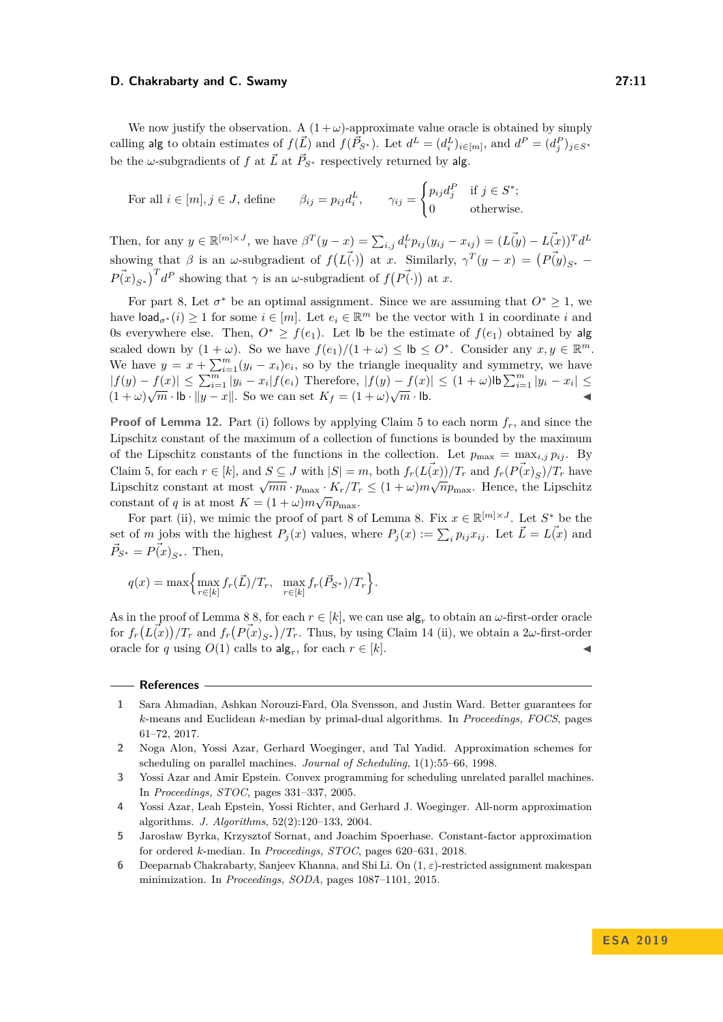We now justify the observation. A  $(1 + \omega)$ -approximate value oracle is obtained by simply calling alg to obtain estimates of  $f(\vec{L})$  and  $f(\vec{P}_{S^*})$ . Let  $d^L = (d_i^L)_{i \in [m]}$ , and  $d^P = (d_j^P)_{j \in S^*}$ be the *ω*-subgradients of *f* at  $\vec{L}$  at  $\vec{P}_{S^*}$  respectively returned by alg.

For all 
$$
i \in [m], j \in J
$$
, define  $\beta_{ij} = p_{ij} d_i^L$ ,  $\gamma_{ij} = \begin{cases} p_{ij} d_j^P & \text{if } j \in S^*; \\ 0 & \text{otherwise.} \end{cases}$ 

Then, for any  $y \in \mathbb{R}^{[m] \times J}$ , we have  $\beta^T(y - x) = \sum_{i,j} d_i^L p_{ij} (y_{ij} - x_{ij}) = (L(\psi) - L(\mathbf{x}))^T d^L$ showing that *β* is an *ω*-subgradient of  $f(L\vec{(.)})$  at *x*. Similarly,  $\gamma^T(y-x) = (P\vec{(y})_{S^*} P(\vec{x})_{S^*}$ <sup>*T*</sup> *d*<sup>*P*</sup> showing that *γ* is an *ω*-subgradient of *f*( $P(\vec{f} \cdot)$ ) at *x*.

For part [8,](#page-6-1) Let  $\sigma^*$  be an optimal assignment. Since we are assuming that  $O^* \geq 1$ , we have  $\text{load}_{\sigma^*}(i) \geq 1$  for some  $i \in [m]$ . Let  $e_i \in \mathbb{R}^m$  be the vector with 1 in coordinate *i* and 0s everywhere else. Then,  $O^* \geq f(e_1)$ . Let lb be the estimate of  $f(e_1)$  obtained by alg scaled down by  $(1 + \omega)$ . So we have  $f(e_1)/(1 + \omega) \leq \mathsf{lb} \leq O^*$ . Consider any  $x, y \in \mathbb{R}^m$ . We have  $y = x + \sum_{i=1}^{m} (y_i - x_i)e_i$ , so by the triangle inequality and symmetry, we have |*f*(*y*) − *f*(*x*)| ≤ P*<sup>m</sup> <sup>i</sup>*=1 |*y<sup>i</sup>* − *x<sup>i</sup>* |*f*(*ei*) Therefore, |*f*(*y*) − *f*(*x*)| ≤ (1 + *ω*)lbP*<sup>m</sup> <sup>i</sup>*=1 |*y<sup>i</sup>* − *x<sup>i</sup>* | ≤ √ √ *m* · lb. J  $(1 + \omega)\sqrt{m} \cdot \mathbf{b} \cdot ||y - x||$ . So we can set  $K_f = (1 + \omega)$ 

**Proof of Lemma [12.](#page-8-1)** Part (i) follows by applying Claim [5](#page-6-3) to each norm *fr*, and since the Lipschitz constant of the maximum of a collection of functions is bounded by the maximum of the Lipschitz constants of the functions in the collection. Let  $p_{\text{max}} = \max_{i,j} p_{ij}$ . By Claim [5,](#page-6-3) for each  $r \in [k]$ , and  $S \subseteq J$  with  $|S| = m$ , both  $f_r(L(\vec{x}))/T_r$  and  $f_r(F(\vec{x})_S)/T_r$  have Lipschitz constant at most  $\sqrt{mn} \cdot p_{\text{max}} \cdot K_r/T_r \leq (1 + \omega)m\sqrt{np_{\text{max}}}$ . Hence, the Lipschitz constant of *q* is at most  $K = (1 + \omega)m\sqrt{n}p_{\text{max}}$ .

For part (ii), we mimic the proof of part [8](#page-6-1) of Lemma [8.](#page-6-1) Fix  $x \in \mathbb{R}^{m \times J}$ . Let  $S^*$  be the set of *m* jobs with the highest  $P_j(x)$  values, where  $P_j(x) := \sum_i p_{ij} x_{ij}$ . Let  $\vec{L} = \vec{L(x)}$  and  $\vec{P}_{S^*} = \vec{P(x)}_{S^*}$ . Then,

$$
q(x) = \max \Big\{ \max_{r \in [k]} f_r(\vec{L})/T_r, \ \ \max_{r \in [k]} f_r(\vec{P}_{S^*})/T_r \Big\}.
$$

As in the proof of Lemma  $8, 8$ , for each  $r \in [k]$ , we can use  $\mathsf{alg}_r$  to obtain an *ω*-first-order oracle for  $f_r(L(\vec{x})) / T_r$  and  $f_r(P(\vec{x})_{S^*}) / T_r$ . Thus, by using Claim [14](#page-9-1) (ii), we obtain a 2*ω*-first-order oracle for *q* using  $O(1)$  calls to  $\mathsf{alg}_r$ , for each  $r \in [k]$ .

#### **References**

- <span id="page-10-4"></span>**1** Sara Ahmadian, Ashkan Norouzi-Fard, Ola Svensson, and Justin Ward. Better guarantees for *k*-means and Euclidean *k*-median by primal-dual algorithms. In *Proceedings, FOCS*, pages 61–72, 2017.
- <span id="page-10-2"></span>**2** Noga Alon, Yossi Azar, Gerhard Woeginger, and Tal Yadid. Approximation schemes for scheduling on parallel machines. *Journal of Scheduling*, 1(1):55–66, 1998.

<span id="page-10-1"></span>**<sup>3</sup>** Yossi Azar and Amir Epstein. Convex programming for scheduling unrelated parallel machines. In *Proceedings, STOC*, pages 331–337, 2005.

<span id="page-10-3"></span>**<sup>4</sup>** Yossi Azar, Leah Epstein, Yossi Richter, and Gerhard J. Woeginger. All-norm approximation algorithms. *J. Algorithms*, 52(2):120–133, 2004.

<span id="page-10-5"></span>**<sup>5</sup>** Jarosław Byrka, Krzysztof Sornat, and Joachim Spoerhase. Constant-factor approximation for ordered *k*-median. In *Proceedings, STOC*, pages 620–631, 2018.

<span id="page-10-0"></span>**<sup>6</sup>** Deeparnab Chakrabarty, Sanjeev Khanna, and Shi Li. On (1, *ε*)-restricted assignment makespan minimization. In *Proceedings, SODA*, pages 1087–1101, 2015.